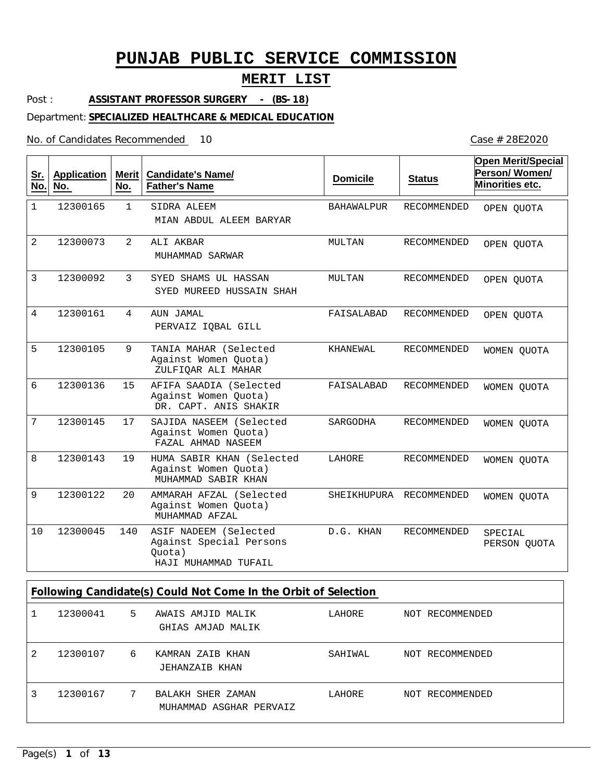## **MERIT LIST**

Post : **ASSISTANT PROFESSOR SURGERY - (BS-18)**

Department: **SPECIALIZED HEALTHCARE & MEDICAL EDUCATION**

No. of Candidates Recommended

| <u>Sr.</u><br>No. | <b>Application</b><br>No. | <b>Merit</b><br>No. | <b>Candidate's Name/</b><br><b>Father's Name</b>                                   | <b>Domicile</b> | <b>Status</b>      | <b>Open Merit/Special</b><br>Person/Women/<br><b>Minorities etc.</b> |
|-------------------|---------------------------|---------------------|------------------------------------------------------------------------------------|-----------------|--------------------|----------------------------------------------------------------------|
| $\mathbf{1}$      | 12300165                  | $\mathbf{1}$        | SIDRA ALEEM<br>MIAN ABDUL ALEEM BARYAR                                             | BAHAWALPUR      | RECOMMENDED        | OPEN QUOTA                                                           |
| $\overline{2}$    | 12300073                  | $\mathfrak{D}$      | ALI AKBAR<br>MUHAMMAD SARWAR                                                       | MULTAN          | RECOMMENDED        | OPEN OUOTA                                                           |
| 3                 | 12300092                  | 3                   | SYED SHAMS UL HASSAN<br>SYED MUREED HUSSAIN SHAH                                   | MULTAN          | RECOMMENDED        | OPEN QUOTA                                                           |
| 4                 | 12300161                  | 4                   | AUN JAMAL<br>PERVAIZ IOBAL GILL                                                    | FAISALABAD      | <b>RECOMMENDED</b> | OPEN QUOTA                                                           |
| 5                 | 12300105                  | 9                   | TANIA MAHAR (Selected<br>Against Women Quota)<br>ZULFIQAR ALI MAHAR                | KHANEWAL        | <b>RECOMMENDED</b> | WOMEN OUOTA                                                          |
| 6                 | 12300136                  | 15                  | AFIFA SAADIA (Selected<br>Against Women Quota)<br>DR. CAPT. ANIS SHAKIR            | FAISALABAD      | RECOMMENDED        | WOMEN QUOTA                                                          |
| $\overline{7}$    | 12300145                  | 17                  | SAJIDA NASEEM (Selected<br>Against Women Quota)<br>FAZAL AHMAD NASEEM              | SARGODHA        | RECOMMENDED        | WOMEN QUOTA                                                          |
| 8                 | 12300143                  | 19                  | HUMA SABIR KHAN (Selected<br>Against Women Quota)<br>MUHAMMAD SABIR KHAN           | LAHORE          | RECOMMENDED        | WOMEN QUOTA                                                          |
| 9                 | 12300122                  | 20                  | AMMARAH AFZAL (Selected<br>Against Women Quota)<br>MUHAMMAD AFZAL                  | SHEIKHUPURA     | RECOMMENDED        | WOMEN QUOTA                                                          |
| 10                | 12300045                  | 140                 | ASIF NADEEM (Selected<br>Against Special Persons<br>Ouota)<br>HAJI MUHAMMAD TUFAIL | D.G. KHAN       | RECOMMENDED        | SPECIAL<br>PERSON QUOTA                                              |

**Following Candidate(s) Could Not Come In the Orbit of Selection**

|   | 12300041 | 5 | AWAIS AMJID MALIK<br>GHIAS AMJAD MALIK       | LAHORE  | NOT RECOMMENDED |
|---|----------|---|----------------------------------------------|---------|-----------------|
| 2 | 12300107 | 6 | KAMRAN ZAIB KHAN<br>JEHANZAIB KHAN           | SAHIWAL | NOT RECOMMENDED |
|   | 12300167 | 7 | BALAKH SHER ZAMAN<br>MUHAMMAD ASGHAR PERVAIZ | LAHORE  | NOT RECOMMENDED |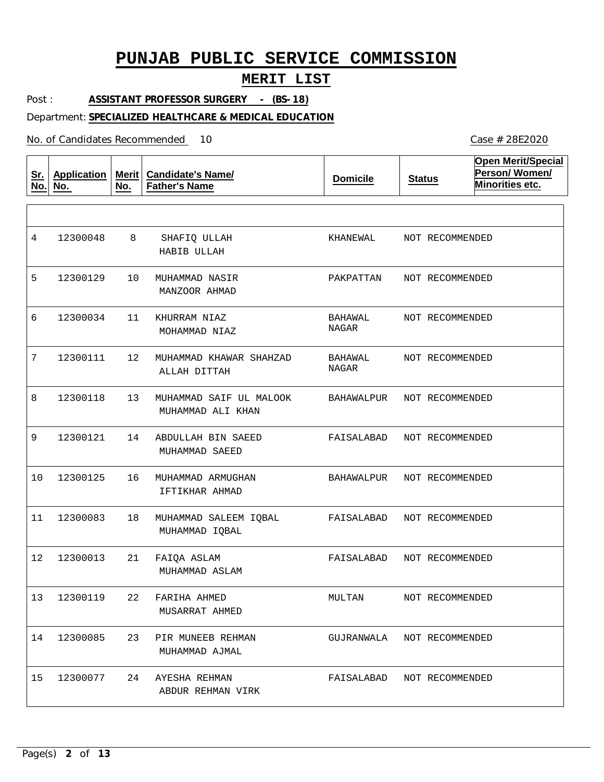## **MERIT LIST**

Post : **ASSISTANT PROFESSOR SURGERY - (BS-18)**

### Department: **SPECIALIZED HEALTHCARE & MEDICAL EDUCATION**

No. of Candidates Recommended

| <u>Sr.</u><br>No. | <b>Application</b><br>No. | Merit  <br>No. | <b>Candidate's Name/</b><br><b>Father's Name</b> | <b>Domicile</b>         | <b>Status</b>   | <b>Open Merit/Special</b><br>Person/Women/<br>Minorities etc. |
|-------------------|---------------------------|----------------|--------------------------------------------------|-------------------------|-----------------|---------------------------------------------------------------|
|                   |                           |                |                                                  |                         |                 |                                                               |
| 4                 | 12300048                  | 8              | SHAFIQ ULLAH<br>HABIB ULLAH                      | KHANEWAL                | NOT RECOMMENDED |                                                               |
| 5                 | 12300129                  | 10             | MUHAMMAD NASIR<br>MANZOOR AHMAD                  | PAKPATTAN               | NOT RECOMMENDED |                                                               |
| 6                 | 12300034                  | 11             | KHURRAM NIAZ<br>MOHAMMAD NIAZ                    | BAHAWAL<br><b>NAGAR</b> | NOT RECOMMENDED |                                                               |
| 7                 | 12300111                  | 12             | MUHAMMAD KHAWAR SHAHZAD<br>ALLAH DITTAH          | BAHAWAL<br>NAGAR        | NOT RECOMMENDED |                                                               |
| 8                 | 12300118                  | 13             | MUHAMMAD SAIF UL MALOOK<br>MUHAMMAD ALI KHAN     | BAHAWALPUR              | NOT RECOMMENDED |                                                               |
| 9                 | 12300121                  | 14             | ABDULLAH BIN SAEED<br>MUHAMMAD SAEED             | FAISALABAD              | NOT RECOMMENDED |                                                               |
| 10                | 12300125                  | 16             | MUHAMMAD ARMUGHAN<br>IFTIKHAR AHMAD              | BAHAWALPUR              | NOT RECOMMENDED |                                                               |
| 11                | 12300083                  | 18             | MUHAMMAD SALEEM IQBAL<br>MUHAMMAD IQBAL          | FAISALABAD              | NOT RECOMMENDED |                                                               |
| 12                | 12300013                  | 21             | FAIQA ASLAM<br>MUHAMMAD ASLAM                    | FAISALABAD              | NOT RECOMMENDED |                                                               |
| 13                | 12300119                  | 22             | FARIHA AHMED<br>MUSARRAT AHMED                   | MULTAN                  | NOT RECOMMENDED |                                                               |
| 14                | 12300085                  | 23             | PIR MUNEEB REHMAN<br>MUHAMMAD AJMAL              | GUJRANWALA              | NOT RECOMMENDED |                                                               |
| 15                | 12300077                  | 24             | AYESHA REHMAN<br>ABDUR REHMAN VIRK               | FAISALABAD              | NOT RECOMMENDED |                                                               |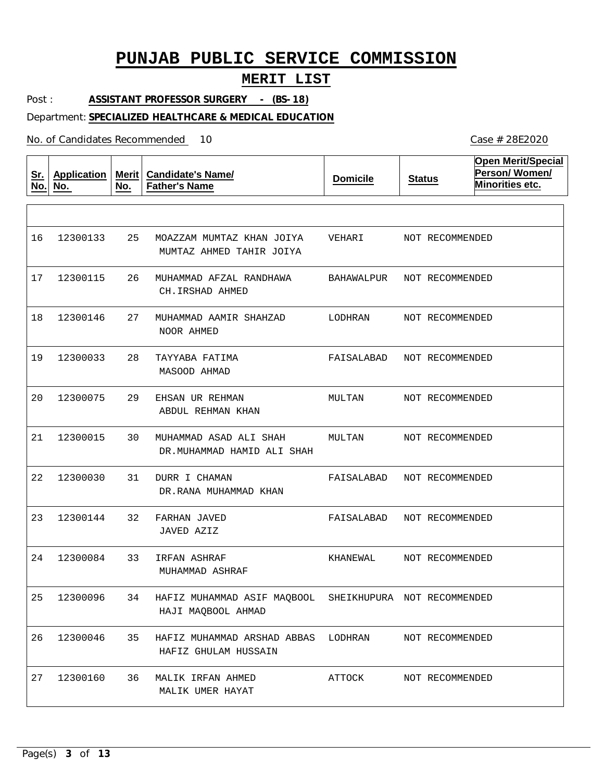### **MERIT LIST**

Post : **ASSISTANT PROFESSOR SURGERY - (BS-18)**

### Department: **SPECIALIZED HEALTHCARE & MEDICAL EDUCATION**

No. of Candidates Recommended

**Sr. No. Application No. Merit No. Candidate's Name/ Father's Name Domicile Status Open Merit/Special Person/ Women/ Minorities etc.** 25 MOAZZAM MUMTAZ KHAN JOIYA 26 27 28 29 30 31 32 FARHAN JAVED 33 34 35 36 MUHAMMAD AFZAL RANDHAWA MUHAMMAD AAMIR SHAHZAD TAYYABA FATIMA EHSAN UR REHMAN MUHAMMAD ASAD ALI SHAH DURR I CHAMAN IRFAN ASHRAF HAFIZ MUHAMMAD ASIF MAQBOOL SHEIKHUPURA NOT RECOMMENDED HAFIZ MUHAMMAD ARSHAD ABBAS LODHRAN MALIK IRFAN AHMED MUMTAZ AHMED TAHIR JOIYA CH.IRSHAD AHMED NOOR AHMED MASOOD AHMAD ABDUL REHMAN KHAN DR.MUHAMMAD HAMID ALI SHAH DR.RANA MUHAMMAD KHAN JAVED AZIZ MUHAMMAD ASHRAF HAJI MAQBOOL AHMAD HAFIZ GHULAM HUSSAIN MALIK UMER HAYAT 16 17 12300115 18 19 20 21 22 12300030 23 12300144 24 25 12300096 26 27 12300133 12300146 12300033 12300075 12300015 12300084 12300046 12300160 VEHARI BAHAWALPUR LODHRAN FAISALABAD MULTAN MULTAN FAISALABAD FAISALABAD NOT RECOMMENDED KHANEWAL ATTOCK NOT RECOMMENDED NOT RECOMMENDED NOT RECOMMENDED NOT RECOMMENDED NOT RECOMMENDED NOT RECOMMENDED NOT RECOMMENDED NOT RECOMMENDED NOT RECOMMENDED NOT RECOMMENDED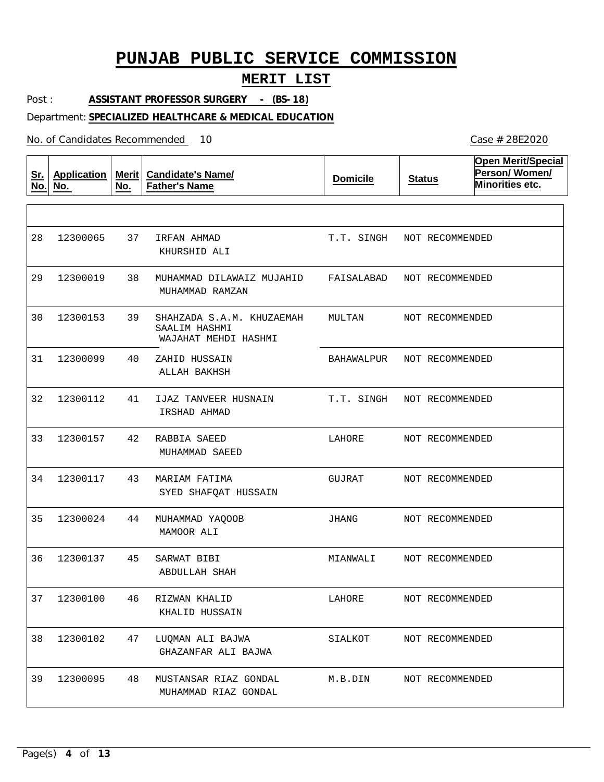### **MERIT LIST**

Post : **ASSISTANT PROFESSOR SURGERY - (BS-18)**

#### Department: **SPECIALIZED HEALTHCARE & MEDICAL EDUCATION**

No. of Candidates Recommended

**Sr. No. Application No. Merit No. Candidate's Name/ Father's Name Domicile Status Open Merit/Special Person/ Women/ Minorities etc.** 37 38 MUHAMMAD DILAWAIZ MUJAHID 39 40 41 42 RABBIA SAEED 43 44 MUHAMMAD YAQOOB 45 46 47 48 MUSTANSAR RIAZ GONDAL IRFAN AHMAD SHAHZADA S.A.M. KHUZAEMAH SAALIM HASHMI ZAHID HUSSAIN IJAZ TANVEER HUSNAIN MARIAM FATIMA SARWAT BIBI RIZWAN KHALID LUQMAN ALI BAJWA KHURSHID ALI MUHAMMAD RAMZAN WAJAHAT MEHDI HASHMI ALLAH BAKHSH IRSHAD AHMAD MUHAMMAD SAEED SYED SHAFQAT HUSSAIN MAMOOR ALI ABDULLAH SHAH KHALID HUSSAIN GHAZANFAR ALI BAJWA MUHAMMAD RIAZ GONDAL 28 29 12300019 30 31 32 12300112 33 34 35 12300024 36 12300137 37 12300100 38 12300102 39 12300065 12300153 12300099 12300157 12300117 12300095 T.T. SINGH NOT RECOMMENDED FAISALABAD NOT RECOMMENDED MULTAN BAHAWALPUR T.T. SINGH NOT RECOMMENDED LAHORE GUJRAT JHANG MIANWALI LAHORE SIALKOT M.B.DIN NOT RECOMMENDED NOT RECOMMENDED NOT RECOMMENDED NOT RECOMMENDED NOT RECOMMENDED NOT RECOMMENDED NOT RECOMMENDED NOT RECOMMENDED NOT RECOMMENDED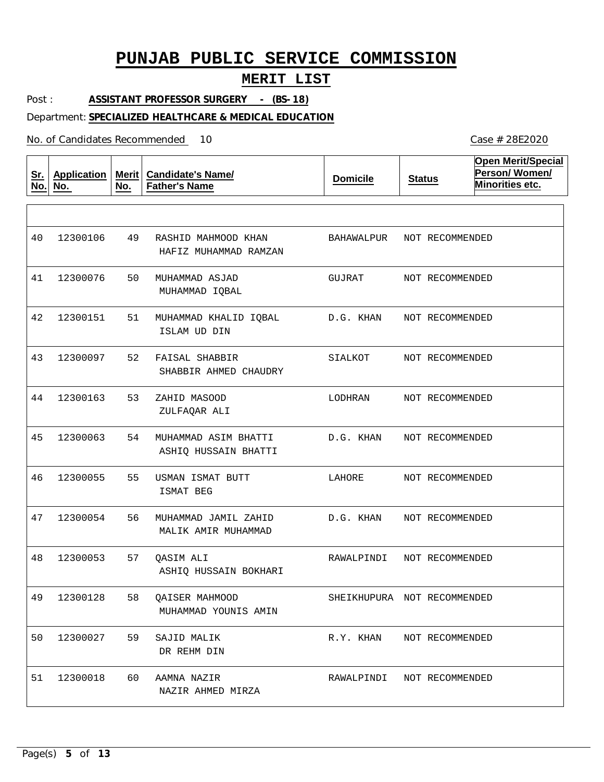### **MERIT LIST**

Post : **ASSISTANT PROFESSOR SURGERY - (BS-18)**

### Department: **SPECIALIZED HEALTHCARE & MEDICAL EDUCATION**

No. of Candidates Recommended

**Sr. No. Application No. Merit No. Candidate's Name/ Father's Name Domicile Status Open Merit/Special Person/ Women/ Minorities etc.** 49 RASHID MAHMOOD KHAN 50 MUHAMMAD ASJAD 51 52 FAISAL SHABBIR 53 54 55 USMAN ISMAT BUTT 56 57 58 59 60 AAMNA NAZIR MUHAMMAD KHALID IQBAL ZAHID MASOOD MUHAMMAD ASIM BHATTI MUHAMMAD JAMIL ZAHID QASIM ALI QAISER MAHMOOD SAJID MALIK HAFIZ MUHAMMAD RAMZAN MUHAMMAD IQBAL ISLAM UD DIN SHABBIR AHMED CHAUDRY ZULFAQAR ALI ASHIQ HUSSAIN BHATTI ISMAT BEG MALIK AMIR MUHAMMAD ASHIQ HUSSAIN BOKHARI MUHAMMAD YOUNIS AMIN DR REHM DIN NAZIR AHMED MIRZA 40 41 12300076 42 43 12300097 44 12300163 45 46 47 12300054 48 49 12300128 50 12300027 51 12300106 12300151 12300063 12300055 12300053 12300018 BAHAWALPUR NOT RECOMMENDED GUJRAT D.G. KHAN SIALKOT LODHRAN D.G. KHAN LAHORE D.G. KHAN RAWALPINDI SHEIKHUPURA NOT RECOMMENDED R.Y. KHAN RAWALPINDI NOT RECOMMENDED NOT RECOMMENDED NOT RECOMMENDED NOT RECOMMENDED NOT RECOMMENDED NOT RECOMMENDED NOT RECOMMENDED NOT RECOMMENDED NOT RECOMMENDED NOT RECOMMENDED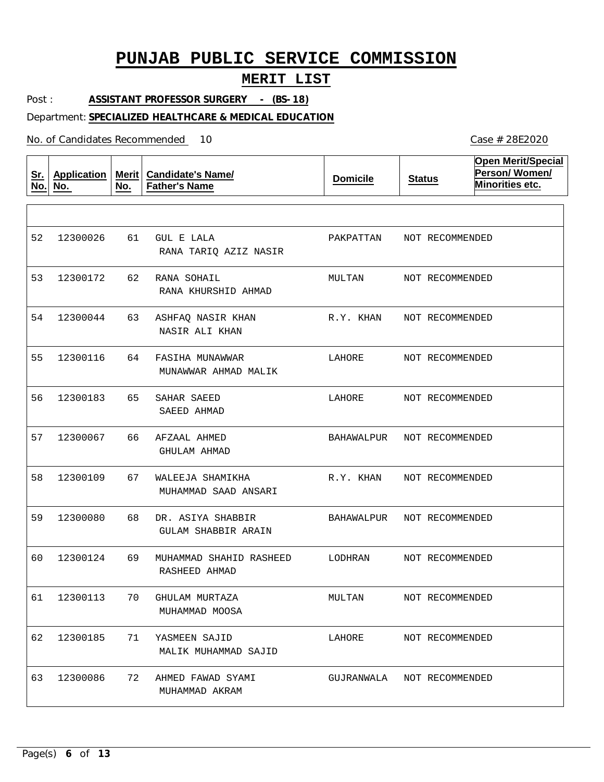### **MERIT LIST**

Post : **ASSISTANT PROFESSOR SURGERY - (BS-18)**

### Department: **SPECIALIZED HEALTHCARE & MEDICAL EDUCATION**

No. of Candidates Recommended

**Sr. No. Application No. Merit No. Candidate's Name/ Father's Name Domicile Status Open Merit/Special Person/ Women/ Minorities etc.** 61 62 RANA SOHAIL 63 64 65 66 67 68 69 70 71 YASMEEN SAJID 72 AHMED FAWAD SYAMI GUL E LALA ASHFAQ NASIR KHAN FASIHA MUNAWWAR SAHAR SAEED AFZAAL AHMED WALEEJA SHAMIKHA DR. ASIYA SHABBIR MUHAMMAD SHAHID RASHEED GHULAM MURTAZA RANA TARIQ AZIZ NASIR RANA KHURSHID AHMAD NASIR ALI KHAN MUNAWWAR AHMAD MALIK SAEED AHMAD GHULAM AHMAD MUHAMMAD SAAD ANSARI GULAM SHABBIR ARAIN RASHEED AHMAD MUHAMMAD MOOSA MALIK MUHAMMAD SAJID MUHAMMAD AKRAM 52 12300026 53 12300172 54 55 56 57 58 59 12300080 60 61 12300113 62 12300185 63 12300044 12300116 12300183 12300067 12300109 12300124 12300086 PAKPATTAN MULTAN R.Y. KHAN LAHORE LAHORE BAHAWALPUR R.Y. KHAN BAHAWALPUR LODHRAN MULTAN LAHORE GUJRANWALA NOT RECOMMENDED NOT RECOMMENDED NOT RECOMMENDED NOT RECOMMENDED NOT RECOMMENDED NOT RECOMMENDED NOT RECOMMENDED NOT RECOMMENDED NOT RECOMMENDED NOT RECOMMENDED NOT RECOMMENDED NOT RECOMMENDED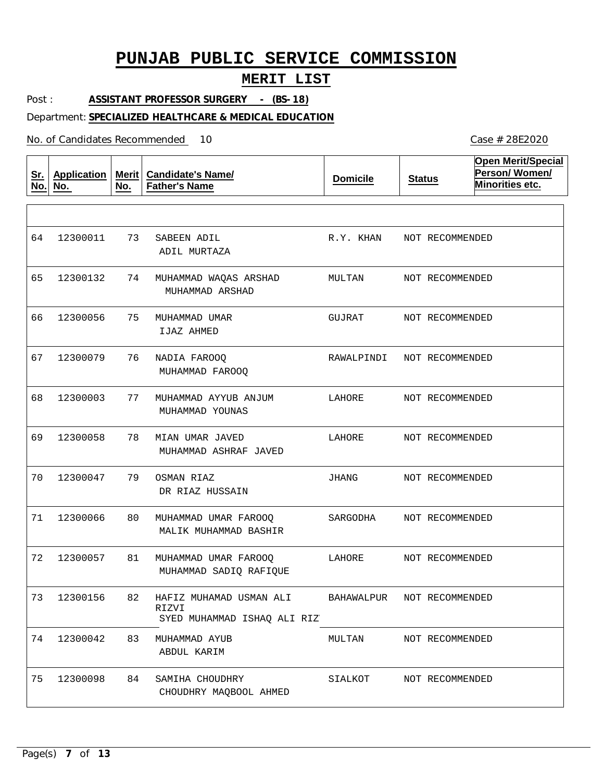## **MERIT LIST**

Post : **ASSISTANT PROFESSOR SURGERY - (BS-18)**

### Department: **SPECIALIZED HEALTHCARE & MEDICAL EDUCATION**

| <u>Sr.</u><br>No. | <b>Application</b><br>No. | Merit<br>No. | <b>Candidate's Name/</b><br><b>Father's Name</b>                | <b>Domicile</b>   | <b>Status</b>   | <b>Open Merit/Special</b><br>Person/Women/<br>Minorities etc. |
|-------------------|---------------------------|--------------|-----------------------------------------------------------------|-------------------|-----------------|---------------------------------------------------------------|
|                   |                           |              |                                                                 |                   |                 |                                                               |
| 64                | 12300011                  | 73           | SABEEN ADIL<br>ADIL MURTAZA                                     | R.Y. KHAN         | NOT RECOMMENDED |                                                               |
| 65                | 12300132                  | 74           | MUHAMMAD WAQAS ARSHAD<br>MUHAMMAD ARSHAD                        | MULTAN            | NOT RECOMMENDED |                                                               |
| 66                | 12300056                  | 75           | MUHAMMAD UMAR<br>IJAZ AHMED                                     | GUJRAT            | NOT RECOMMENDED |                                                               |
| 67                | 12300079                  | 76           | NADIA FAROOQ<br>MUHAMMAD FAROOQ                                 | RAWALPINDI        | NOT RECOMMENDED |                                                               |
| 68                | 12300003                  | 77           | MUHAMMAD AYYUB ANJUM<br>MUHAMMAD YOUNAS                         | LAHORE            | NOT RECOMMENDED |                                                               |
| 69                | 12300058                  | 78           | MIAN UMAR JAVED<br>MUHAMMAD ASHRAF JAVED                        | LAHORE            | NOT RECOMMENDED |                                                               |
| 70                | 12300047                  | 79           | OSMAN RIAZ<br>DR RIAZ HUSSAIN                                   | JHANG             | NOT RECOMMENDED |                                                               |
| 71                | 12300066                  | 80           | MUHAMMAD UMAR FAROOQ<br>MALIK MUHAMMAD BASHIR                   | SARGODHA          | NOT RECOMMENDED |                                                               |
| 72                | 12300057                  | 81           | MUHAMMAD UMAR FAROOQ<br>MUHAMMAD SADIQ RAFIQUE                  | LAHORE            | NOT RECOMMENDED |                                                               |
| 73                | 12300156                  | 82           | HAFIZ MUHAMAD USMAN ALI<br>RIZVI<br>SYED MUHAMMAD ISHAO ALI RIZ | <b>BAHAWALPUR</b> | NOT RECOMMENDED |                                                               |
| 74                | 12300042                  | 83           | MUHAMMAD AYUB<br>ABDUL KARIM                                    | MULTAN            | NOT RECOMMENDED |                                                               |
| 75                | 12300098                  | 84           | SAMIHA CHOUDHRY<br>CHOUDHRY MAQBOOL AHMED                       | SIALKOT           | NOT RECOMMENDED |                                                               |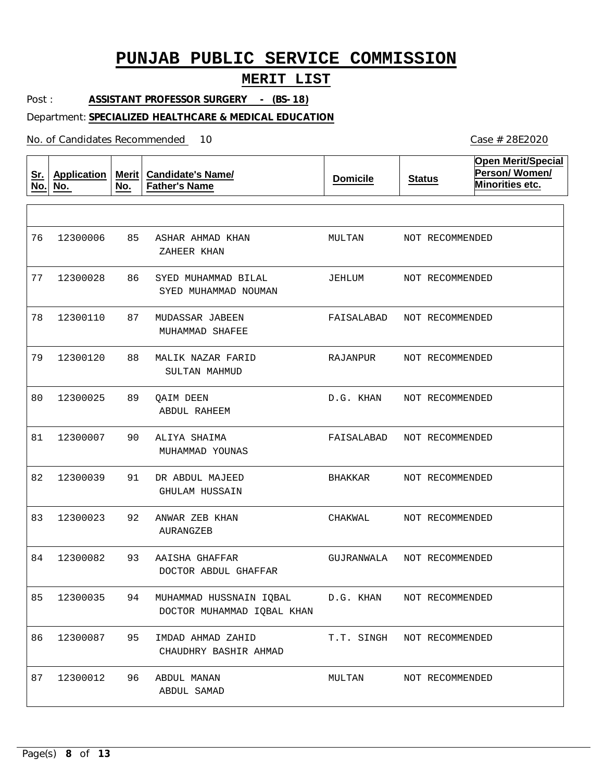## **MERIT LIST**

Post : **ASSISTANT PROFESSOR SURGERY - (BS-18)**

### Department: **SPECIALIZED HEALTHCARE & MEDICAL EDUCATION**

No. of Candidates Recommended

| <u>Sr.</u><br>No. | <b>Application</b><br>No. | <b>Merit</b><br>No. | <b>Candidate's Name/</b><br><b>Father's Name</b>      | <b>Domicile</b> | <b>Status</b>              | <b>Open Merit/Special</b><br>Person/Women/<br>Minorities etc. |
|-------------------|---------------------------|---------------------|-------------------------------------------------------|-----------------|----------------------------|---------------------------------------------------------------|
|                   |                           |                     |                                                       |                 |                            |                                                               |
| 76                | 12300006                  | 85                  | ASHAR AHMAD KHAN<br>ZAHEER KHAN                       | MULTAN          | NOT RECOMMENDED            |                                                               |
| 77                | 12300028                  | 86                  | SYED MUHAMMAD BILAL<br>SYED MUHAMMAD NOUMAN           | JEHLUM          | NOT RECOMMENDED            |                                                               |
| 78                | 12300110                  | 87                  | MUDASSAR JABEEN<br>MUHAMMAD SHAFEE                    | FAISALABAD      | NOT RECOMMENDED            |                                                               |
| 79                | 12300120                  | 88                  | MALIK NAZAR FARID<br>SULTAN MAHMUD                    | RAJANPUR        | NOT RECOMMENDED            |                                                               |
| 80                | 12300025                  | 89                  | <b>QAIM DEEN</b><br>ABDUL RAHEEM                      | D.G. KHAN       | NOT RECOMMENDED            |                                                               |
| 81                | 12300007                  | 90                  | ALIYA SHAIMA<br>MUHAMMAD YOUNAS                       | FAISALABAD      | NOT RECOMMENDED            |                                                               |
| 82                | 12300039                  | 91                  | DR ABDUL MAJEED<br>GHULAM HUSSAIN                     | BHAKKAR         | NOT RECOMMENDED            |                                                               |
| 83                | 12300023                  | 92                  | ANWAR ZEB KHAN<br>AURANGZEB                           | CHAKWAL         | NOT RECOMMENDED            |                                                               |
| 84                | 12300082                  | 93                  | AAISHA GHAFFAR<br>DOCTOR ABDUL GHAFFAR                | GUJRANWALA      | NOT RECOMMENDED            |                                                               |
| 85                | 12300035                  | 94                  | MUHAMMAD HUSSNAIN IQBAL<br>DOCTOR MUHAMMAD IQBAL KHAN | D.G. KHAN       | NOT RECOMMENDED            |                                                               |
| 86                | 12300087                  | 95                  | IMDAD AHMAD ZAHID<br>CHAUDHRY BASHIR AHMAD            |                 | T.T. SINGH NOT RECOMMENDED |                                                               |
| 87                | 12300012                  | 96                  | ABDUL MANAN<br>ABDUL SAMAD                            | MULTAN          | NOT RECOMMENDED            |                                                               |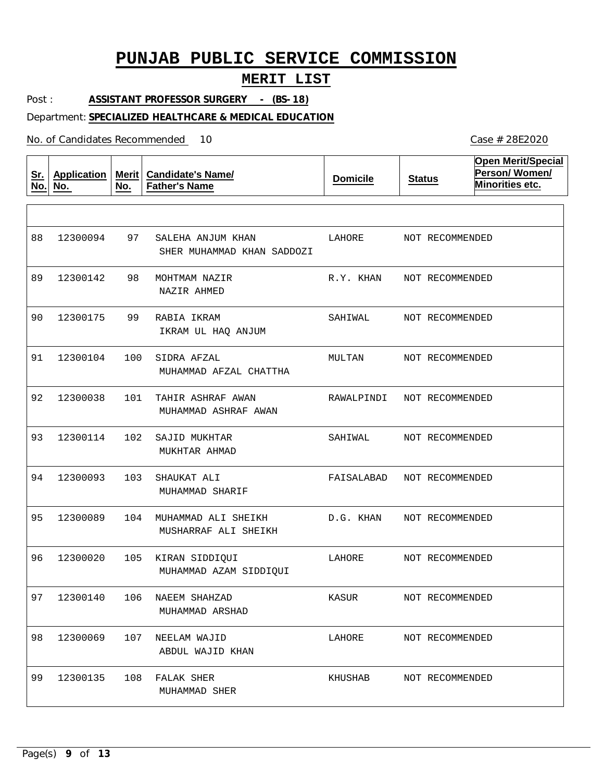## **MERIT LIST**

Post : **ASSISTANT PROFESSOR SURGERY - (BS-18)**

### Department: **SPECIALIZED HEALTHCARE & MEDICAL EDUCATION**

| <u>Sr.</u><br>No. | <b>Application</b><br>No. | Merit $ $<br>No. | <b>Candidate's Name/</b><br><b>Father's Name</b> | <b>Domicile</b> | <b>Status</b>   | <b>Open Merit/Special</b><br>Person/Women/<br>Minorities etc. |
|-------------------|---------------------------|------------------|--------------------------------------------------|-----------------|-----------------|---------------------------------------------------------------|
|                   |                           |                  |                                                  |                 |                 |                                                               |
| 88                | 12300094                  | 97               | SALEHA ANJUM KHAN<br>SHER MUHAMMAD KHAN SADDOZI  | LAHORE          | NOT RECOMMENDED |                                                               |
| 89                | 12300142                  | 98               | MOHTMAM NAZIR<br>NAZIR AHMED                     | R.Y. KHAN       | NOT RECOMMENDED |                                                               |
| 90                | 12300175                  | 99               | RABIA IKRAM<br>IKRAM UL HAQ ANJUM                | SAHIWAL         | NOT RECOMMENDED |                                                               |
| 91                | 12300104                  | 100              | SIDRA AFZAL<br>MUHAMMAD AFZAL CHATTHA            | MULTAN          | NOT RECOMMENDED |                                                               |
| 92                | 12300038                  | 101              | TAHIR ASHRAF AWAN<br>MUHAMMAD ASHRAF AWAN        | RAWALPINDI      | NOT RECOMMENDED |                                                               |
| 93                | 12300114                  | 102              | SAJID MUKHTAR<br>MUKHTAR AHMAD                   | SAHIWAL         | NOT RECOMMENDED |                                                               |
| 94                | 12300093                  | 103              | SHAUKAT ALI<br>MUHAMMAD SHARIF                   | FAISALABAD      | NOT RECOMMENDED |                                                               |
| 95                | 12300089                  | 104              | MUHAMMAD ALI SHEIKH<br>MUSHARRAF ALI SHEIKH      | D.G. KHAN       | NOT RECOMMENDED |                                                               |
| 96                | 12300020                  | 105              | KIRAN SIDDIQUI<br>MUHAMMAD AZAM SIDDIQUI         | LAHORE          | NOT RECOMMENDED |                                                               |
| 97                | 12300140                  | 106              | NAEEM SHAHZAD<br>MUHAMMAD ARSHAD                 | KASUR           | NOT RECOMMENDED |                                                               |
| 98                | 12300069                  | 107              | NEELAM WAJID<br>ABDUL WAJID KHAN                 | LAHORE          | NOT RECOMMENDED |                                                               |
| 99                | 12300135                  |                  | 108 FALAK SHER<br>MUHAMMAD SHER                  | KHUSHAB         | NOT RECOMMENDED |                                                               |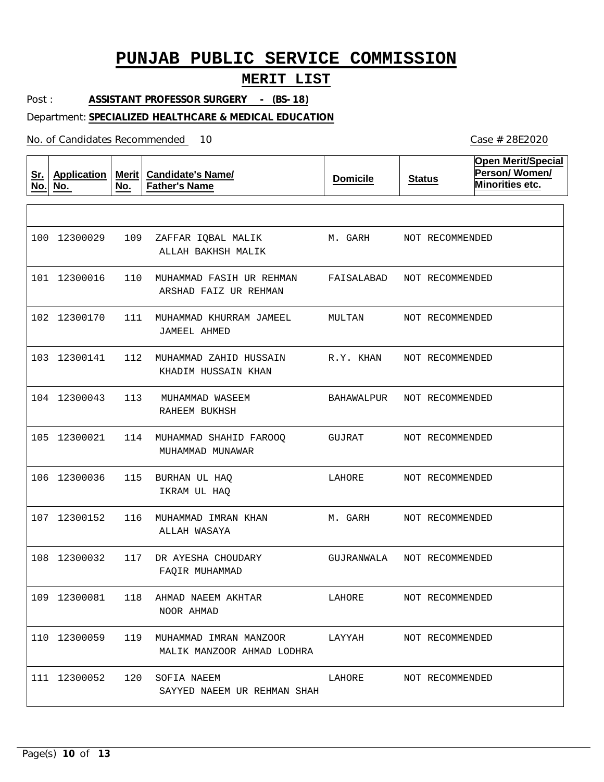## **MERIT LIST**

Post : **ASSISTANT PROFESSOR SURGERY - (BS-18)**

Department: **SPECIALIZED HEALTHCARE & MEDICAL EDUCATION**

| <u>Sr.</u><br>No. | <b>Application</b><br>No. | Merit<br>No. | <b>Candidate's Name/</b><br><b>Father's Name</b>            | <b>Domicile</b> | <b>Status</b>   | <b>Open Merit/Special</b><br>Person/Women/<br>Minorities etc. |
|-------------------|---------------------------|--------------|-------------------------------------------------------------|-----------------|-----------------|---------------------------------------------------------------|
|                   |                           |              |                                                             |                 |                 |                                                               |
| 100               | 12300029                  | 109          | ZAFFAR IQBAL MALIK<br>ALLAH BAKHSH MALIK                    | M. GARH         | NOT RECOMMENDED |                                                               |
|                   | 101 12300016              | 110          | MUHAMMAD FASIH UR REHMAN<br>ARSHAD FAIZ UR REHMAN           | FAISALABAD      | NOT RECOMMENDED |                                                               |
|                   | 102 12300170              | 111          | MUHAMMAD KHURRAM JAMEEL<br>JAMEEL AHMED                     | MULTAN          | NOT RECOMMENDED |                                                               |
|                   | 103 12300141              | 112          | MUHAMMAD ZAHID HUSSAIN<br>KHADIM HUSSAIN KHAN               | R.Y. KHAN       | NOT RECOMMENDED |                                                               |
|                   | 104 12300043              | 113          | MUHAMMAD WASEEM<br>RAHEEM BUKHSH                            | BAHAWALPUR      | NOT RECOMMENDED |                                                               |
| 105               | 12300021                  | 114          | MUHAMMAD SHAHID FAROOO<br>MUHAMMAD MUNAWAR                  | GUJRAT          | NOT RECOMMENDED |                                                               |
| 106               | 12300036                  | 115          | BURHAN UL HAQ<br>IKRAM UL HAQ                               | LAHORE          | NOT RECOMMENDED |                                                               |
|                   | 107 12300152              | 116          | MUHAMMAD IMRAN KHAN<br>ALLAH WASAYA                         | M. GARH         | NOT RECOMMENDED |                                                               |
|                   | 108 12300032              | 117          | DR AYESHA CHOUDARY<br>FAQIR MUHAMMAD                        | GUJRANWALA      | NOT RECOMMENDED |                                                               |
|                   | 109 12300081              | 118          | AHMAD NAEEM AKHTAR<br>NOOR AHMAD                            | LAHORE          | NOT RECOMMENDED |                                                               |
|                   | 110 12300059              | 119          | MUHAMMAD IMRAN MANZOOR LAYYAH<br>MALIK MANZOOR AHMAD LODHRA |                 | NOT RECOMMENDED |                                                               |
|                   | 111 12300052              | 120          | SOFIA NAEEM<br>SAYYED NAEEM UR REHMAN SHAH                  | LAHORE          | NOT RECOMMENDED |                                                               |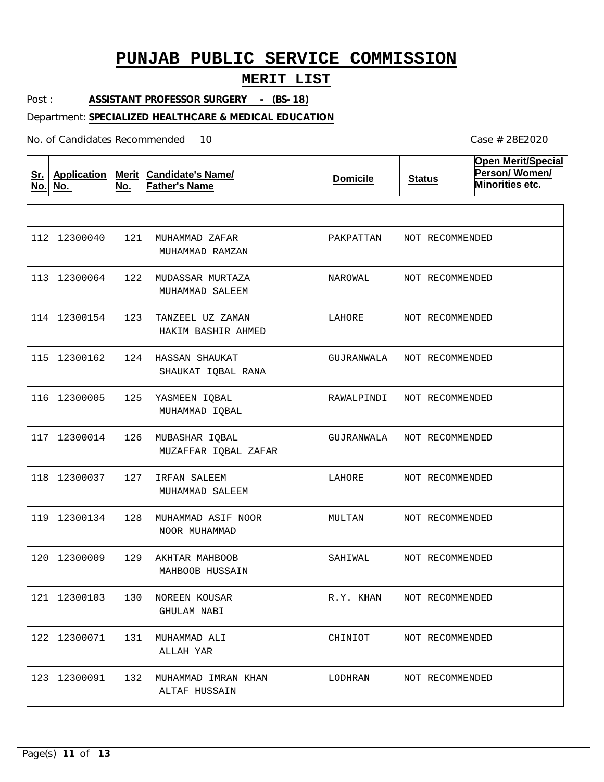## **MERIT LIST**

Post : **ASSISTANT PROFESSOR SURGERY - (BS-18)**

#### Department: **SPECIALIZED HEALTHCARE & MEDICAL EDUCATION**

| <u>Sr.</u><br>No. | <b>Application</b><br>No. | No. | Merit   Candidate's Name/<br><b>Father's Name</b> | <b>Domicile</b> | <b>Status</b> | <b>Open Merit/Special</b><br>Person/Women/<br>Minorities etc. |
|-------------------|---------------------------|-----|---------------------------------------------------|-----------------|---------------|---------------------------------------------------------------|
|                   |                           |     |                                                   |                 |               |                                                               |
|                   | 112 12300040              | 121 | MUHAMMAD ZAFAR<br>MUHAMMAD RAMZAN                 | PAKPATTAN       |               | NOT RECOMMENDED                                               |
|                   | 113 12300064              | 122 | MUDASSAR MURTAZA<br>MUHAMMAD SALEEM               | NAROWAL         |               | NOT RECOMMENDED                                               |
|                   | 114 12300154              | 123 | TANZEEL UZ ZAMAN<br>HAKIM BASHIR AHMED            | LAHORE          |               | NOT RECOMMENDED                                               |
|                   | 115 12300162              | 124 | HASSAN SHAUKAT<br>SHAUKAT IQBAL RANA              | GUJRANWALA      |               | NOT RECOMMENDED                                               |
|                   | 116 12300005              | 125 | YASMEEN IQBAL<br>MUHAMMAD IQBAL                   | RAWALPINDI      |               | NOT RECOMMENDED                                               |
|                   | 117 12300014              | 126 | MUBASHAR IQBAL<br>MUZAFFAR IQBAL ZAFAR            | GUJRANWALA      |               | NOT RECOMMENDED                                               |
|                   | 118 12300037              | 127 | IRFAN SALEEM<br>MUHAMMAD SALEEM                   | LAHORE          |               | NOT RECOMMENDED                                               |
|                   | 119 12300134              | 128 | MUHAMMAD ASIF NOOR<br>NOOR MUHAMMAD               | MULTAN          |               | NOT RECOMMENDED                                               |
|                   | 120 12300009              | 129 | AKHTAR MAHBOOB<br>MAHBOOB HUSSAIN                 | SAHIWAL         |               | NOT RECOMMENDED                                               |
|                   | 121 12300103              | 130 | NOREEN KOUSAR<br><b>GHULAM NABI</b>               | R.Y. KHAN       |               | NOT RECOMMENDED                                               |
|                   | 122 12300071              | 131 | MUHAMMAD ALI<br>ALLAH YAR                         | CHINIOT         |               | NOT RECOMMENDED                                               |
|                   | 123 12300091              |     | 132 MUHAMMAD IMRAN KHAN<br>ALTAF HUSSAIN          | LODHRAN         |               | NOT RECOMMENDED                                               |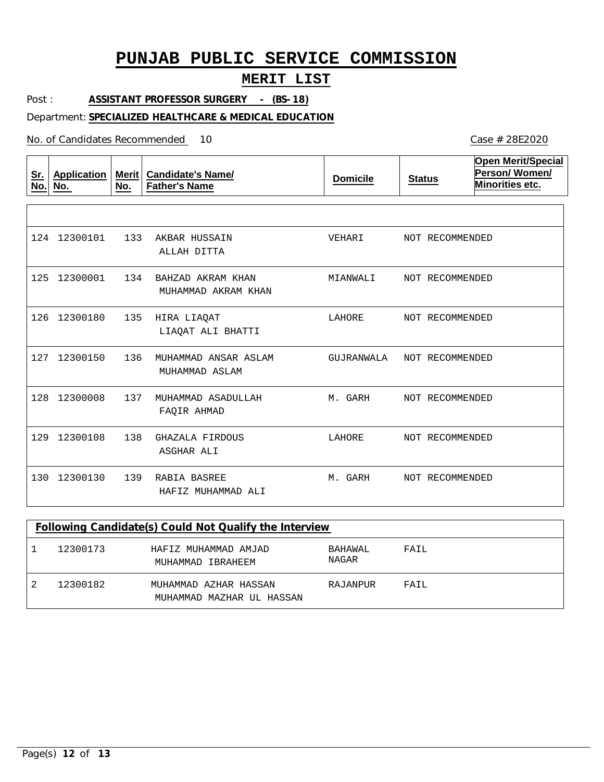## **MERIT LIST**

Post : **ASSISTANT PROFESSOR SURGERY - (BS-18)**

### Department: **SPECIALIZED HEALTHCARE & MEDICAL EDUCATION**

No. of Candidates Recommended

| <u>Sr.</u><br>No. | Application<br>No. | Merit  <br>No. | <b>Candidate's Name/</b><br><b>Father's Name</b> | <b>Domicile</b> | <b>Status</b>   | <b>Open Merit/Special</b><br>Person/Women/<br>Minorities etc. |
|-------------------|--------------------|----------------|--------------------------------------------------|-----------------|-----------------|---------------------------------------------------------------|
|                   |                    |                |                                                  |                 |                 |                                                               |
| 124               | 12300101           | 133            | AKBAR HUSSAIN<br>ALLAH DITTA                     | VEHARI          | NOT RECOMMENDED |                                                               |
| 125               | 12300001           | 134            | BAHZAD AKRAM KHAN<br>MUHAMMAD AKRAM KHAN         | MIANWALI        | NOT RECOMMENDED |                                                               |
| 126               | 12300180           | 135            | HIRA LIAQAT<br>LIAQAT ALI BHATTI                 | LAHORE          | NOT RECOMMENDED |                                                               |
| 127               | 12300150           | 136            | MUHAMMAD ANSAR ASLAM<br>MUHAMMAD ASLAM           | GUJRANWALA      | NOT RECOMMENDED |                                                               |
| 128               | 12300008           | 137            | MUHAMMAD ASADULLAH<br>FAOIR AHMAD                | M. GARH         | NOT RECOMMENDED |                                                               |
| 129               | 12300108           | 138            | GHAZALA FIRDOUS<br>ASGHAR ALI                    | LAHORE          | NOT RECOMMENDED |                                                               |
| 130               | 12300130           | 139            | RABIA BASREE<br>HAFIZ MUHAMMAD ALI               | M. GARH         | NOT RECOMMENDED |                                                               |

| Following Candidate(s) Could Not Qualify the Interview |                                                    |                  |      |  |  |  |  |  |
|--------------------------------------------------------|----------------------------------------------------|------------------|------|--|--|--|--|--|
| 12300173                                               | HAFIZ MUHAMMAD AMJAD<br>MUHAMMAD IBRAHEEM          | BAHAWAL<br>NAGAR | FAIL |  |  |  |  |  |
| 12300182                                               | MUHAMMAD AZHAR HASSAN<br>MUHAMMAD MAZHAR UL HASSAN | RAJANPUR         | FATL |  |  |  |  |  |